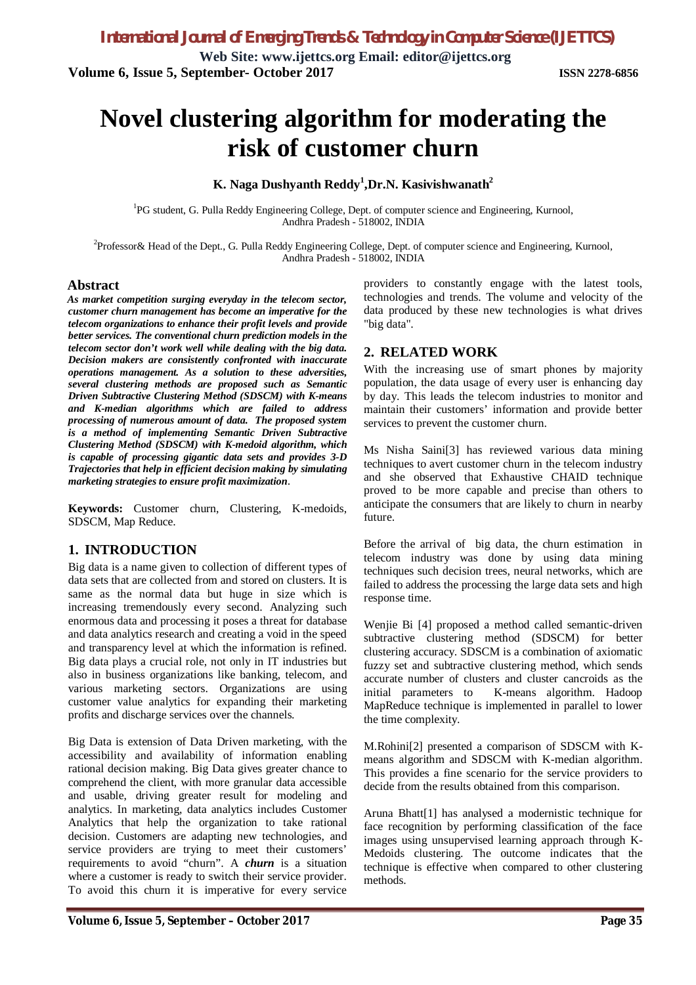**Web Site: www.ijettcs.org Email: editor@ijettcs.org Volume 6, Issue 5, September- October 2017 ISSN 2278-6856**

# **Novel clustering algorithm for moderating the risk of customer churn**

# **K. Naga Dushyanth Reddy<sup>1</sup> ,Dr.N. Kasivishwanath<sup>2</sup>**

<sup>1</sup>PG student, G. Pulla Reddy Engineering College, Dept. of computer science and Engineering, Kurnool, Andhra Pradesh - 518002, INDIA

 $2$ Professor& Head of the Dept., G. Pulla Reddy Engineering College, Dept. of computer science and Engineering, Kurnool, Andhra Pradesh - 518002, INDIA

# **Abstract**

*As market competition surging everyday in the telecom sector, customer churn management has become an imperative for the telecom organizations to enhance their profit levels and provide better services. The conventional churn prediction models in the telecom sector don't work well while dealing with the big data. Decision makers are consistently confronted with inaccurate operations management. As a solution to these adversities, several clustering methods are proposed such as Semantic Driven Subtractive Clustering Method (SDSCM) with K-means and K-median algorithms which are failed to address processing of numerous amount of data. The proposed system is a method of implementing Semantic Driven Subtractive Clustering Method (SDSCM) with K-medoid algorithm, which is capable of processing gigantic data sets and provides 3-D Trajectories that help in efficient decision making by simulating marketing strategies to ensure profit maximization*.

**Keywords:** Customer churn, Clustering, K-medoids, SDSCM, Map Reduce.

# **1. INTRODUCTION**

Big data is a name given to collection of different types of data sets that are collected from and stored on clusters. It is same as the normal data but huge in size which is increasing tremendously every second. Analyzing such enormous data and processing it poses a threat for database and data analytics research and creating a void in the speed and transparency level at which the information is refined. Big data plays a crucial role, not only in IT industries but also in business organizations like banking, telecom, and various marketing sectors. Organizations are using customer value analytics for expanding their marketing profits and discharge services over the channels.

Big Data is extension of Data Driven marketing, with the accessibility and availability of information enabling rational decision making. Big Data gives greater chance to comprehend the client, with more granular data accessible and usable, driving greater result for modeling and analytics. In marketing, data analytics includes Customer Analytics that help the organization to take rational decision. Customers are adapting new technologies, and service providers are trying to meet their customers' requirements to avoid "churn". A *churn* is a situation where a customer is ready to switch their service provider. To avoid this churn it is imperative for every service providers to constantly engage with the latest tools, technologies and trends. The volume and velocity of the data produced by these new technologies is what drives "big data".

# **2. RELATED WORK**

With the increasing use of smart phones by majority population, the data usage of every user is enhancing day by day. This leads the telecom industries to monitor and maintain their customers' information and provide better services to prevent the customer churn.

Ms Nisha Saini[3] has reviewed various data mining techniques to avert customer churn in the telecom industry and she observed that Exhaustive CHAID technique proved to be more capable and precise than others to anticipate the consumers that are likely to churn in nearby future.

Before the arrival of big data, the churn estimation in telecom industry was done by using data mining techniques such decision trees, neural networks, which are failed to address the processing the large data sets and high response time.

Wenjie Bi [4] proposed a method called semantic-driven subtractive clustering method (SDSCM) for better clustering accuracy. SDSCM is a combination of axiomatic fuzzy set and subtractive clustering method, which sends accurate number of clusters and cluster cancroids as the initial parameters to K-means algorithm. Hadoop MapReduce technique is implemented in parallel to lower the time complexity.

M.Rohini[2] presented a comparison of SDSCM with Kmeans algorithm and SDSCM with K-median algorithm. This provides a fine scenario for the service providers to decide from the results obtained from this comparison.

Aruna Bhatt[1] has analysed a modernistic technique for face recognition by performing classification of the face images using unsupervised learning approach through K-Medoids clustering. The outcome indicates that the technique is effective when compared to other clustering methods.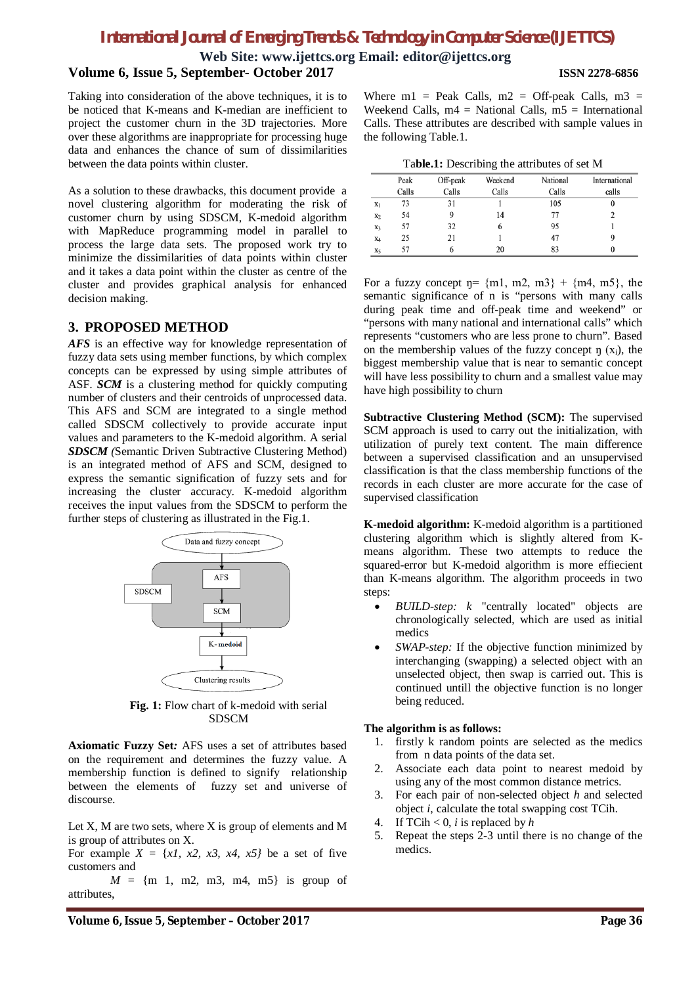# *International Journal of Emerging Trends & Technology in Computer Science (IJETTCS)*

**Web Site: www.ijettcs.org Email: editor@ijettcs.org**

### **Volume 6, Issue 5, September- October 2017 ISSN 2278-6856**

Taking into consideration of the above techniques, it is to be noticed that K-means and K-median are inefficient to project the customer churn in the 3D trajectories. More over these algorithms are inappropriate for processing huge data and enhances the chance of sum of dissimilarities between the data points within cluster.

As a solution to these drawbacks, this document provide a novel clustering algorithm for moderating the risk of customer churn by using SDSCM, K-medoid algorithm with MapReduce programming model in parallel to process the large data sets. The proposed work try to minimize the dissimilarities of data points within cluster and it takes a data point within the cluster as centre of the cluster and provides graphical analysis for enhanced decision making.

# **3. PROPOSED METHOD**

*AFS* is an effective way for knowledge representation of fuzzy data sets using member functions, by which complex concepts can be expressed by using simple attributes of ASF. *SCM* is a clustering method for quickly computing number of clusters and their centroids of unprocessed data. This AFS and SCM are integrated to a single method called SDSCM collectively to provide accurate input values and parameters to the K-medoid algorithm. A serial *SDSCM (*Semantic Driven Subtractive Clustering Method) is an integrated method of AFS and SCM, designed to express the semantic signification of fuzzy sets and for increasing the cluster accuracy. K-medoid algorithm receives the input values from the SDSCM to perform the further steps of clustering as illustrated in the Fig.1.



**Fig. 1:** Flow chart of k-medoid with serial SDSCM

**Axiomatic Fuzzy Set***:* AFS uses a set of attributes based on the requirement and determines the fuzzy value. A membership function is defined to signify relationship between the elements of fuzzy set and universe of discourse.

Let X, M are two sets, where X is group of elements and M is group of attributes on X.

For example  $X = \{x\}$ ,  $x^2$ ,  $x^3$ ,  $x^4$ ,  $x^5$ } be a set of five customers and

 $M = \{m \space 1, \space m2, \space m3, \space m4, \space m5\}$  is group of attributes,

Where  $m1$  = Peak Calls,  $m2$  = Off-peak Calls,  $m3$  = Weekend Calls,  $m4 = NationalCalls, m5 = International$ Calls. These attributes are described with sample values in the following Table.1.

| Table.1: Describing the attributes of set M |  |
|---------------------------------------------|--|
|---------------------------------------------|--|

|                | Peak  | Off-peak | Weekend | National | International |
|----------------|-------|----------|---------|----------|---------------|
|                | Calls | Calls    | Calls   | Calls    | calls         |
| X <sub>1</sub> | 73    | 31       |         | 105      |               |
| $x_2$          | 54    | 9        | 14      | 77       |               |
| X3             | 57    | 32       | 6       | 95       |               |
| X <sub>4</sub> | 25    | 21       |         | 47       |               |
| X5             | 57    |          | 20      | 83       |               |

For a fuzzy concept  $\eta = \{m1, m2, m3\} + \{m4, m5\}$ , the semantic significance of n is "persons with many calls during peak time and off-peak time and weekend" or "persons with many national and international calls" which represents "customers who are less prone to churn". Based on the membership values of the fuzzy concept  $\eta$  (x<sub>i</sub>), the biggest membership value that is near to semantic concept will have less possibility to churn and a smallest value may have high possibility to churn

**Subtractive Clustering Method (SCM):** The supervised SCM approach is used to carry out the initialization, with utilization of purely text content. The main difference between a supervised classification and an unsupervised classification is that the class membership functions of the records in each cluster are more accurate for the case of supervised classification

**K-medoid algorithm:** K-medoid algorithm is a partitioned clustering algorithm which is slightly altered from Kmeans algorithm. These two attempts to reduce the squared-error but K-medoid algorithm is more effiecient than K-means algorithm. The algorithm proceeds in two steps:

- *BUILD-step: k* "centrally located" objects are chronologically selected, which are used as initial medics
- *SWAP-step:* If the objective function minimized by interchanging (swapping) a selected object with an unselected object, then swap is carried out. This is continued untill the objective function is no longer being reduced.

### **The algorithm is as follows:**

- 1. firstly k random points are selected as the medics from n data points of the data set.
- 2. Associate each data point to nearest medoid by using any of the most common distance metrics.
- 3. For each pair of non-selected object *h* and selected object *i*, calculate the total swapping cost TCih.
- 4. If TCih < 0, *i* is replaced by *h*
- 5. Repeat the steps 2-3 until there is no change of the medics.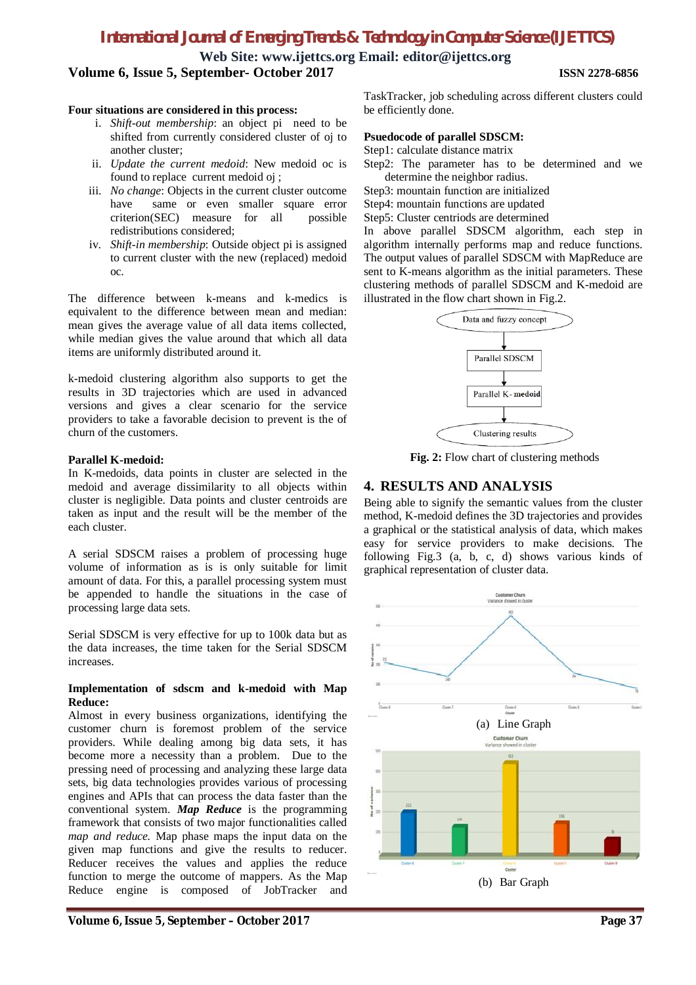# *International Journal of Emerging Trends & Technology in Computer Science (IJETTCS)*

**Web Site: www.ijettcs.org Email: editor@ijettcs.org**

**Volume 6, Issue 5, September- October 2017 ISSN 2278-6856**

# **Four situations are considered in this process:**

- i. *Shift-out membership*: an object pi need to be shifted from currently considered cluster of oj to another cluster;
- ii. *Update the current medoid*: New medoid oc is found to replace current medoid oj ;
- iii. *No change*: Objects in the current cluster outcome have same or even smaller square error criterion(SEC) measure for all possible redistributions considered;
- iv. *Shift-in membership*: Outside object pi is assigned to current cluster with the new (replaced) medoid oc.

The difference between k-means and k-medics is equivalent to the difference between mean and median: mean gives the average value of all data items collected, while median gives the value around that which all data items are uniformly distributed around it.

k-medoid clustering algorithm also supports to get the results in 3D trajectories which are used in advanced versions and gives a clear scenario for the service providers to take a favorable decision to prevent is the of churn of the customers.

# **Parallel K-medoid:**

In K-medoids, data points in cluster are selected in the medoid and average dissimilarity to all objects within cluster is negligible. Data points and cluster centroids are taken as input and the result will be the member of the each cluster.

A serial SDSCM raises a problem of processing huge volume of information as is is only suitable for limit amount of data. For this, a parallel processing system must be appended to handle the situations in the case of processing large data sets.

Serial SDSCM is very effective for up to 100k data but as the data increases, the time taken for the Serial SDSCM increases.

# **Implementation of sdscm and k-medoid with Map Reduce:**

Almost in every business organizations, identifying the customer churn is foremost problem of the service providers. While dealing among big data sets, it has become more a necessity than a problem. Due to the pressing need of processing and analyzing these large data sets, big data technologies provides various of processing engines and APIs that can process the data faster than the conventional system. *Map Reduce* is the programming framework that consists of two major functionalities called *map and reduce.* Map phase maps the input data on the given map functions and give the results to reducer. Reducer receives the values and applies the reduce function to merge the outcome of mappers. As the Map Reduce engine is composed of JobTracker and TaskTracker, job scheduling across different clusters could be efficiently done.

### **Psuedocode of parallel SDSCM:**

Step1: calculate distance matrix

Step2: The parameter has to be determined and we determine the neighbor radius.

Step3: mountain function are initialized

Step4: mountain functions are updated

Step5: Cluster centriods are determined

In above parallel SDSCM algorithm, each step in algorithm internally performs map and reduce functions. The output values of parallel SDSCM with MapReduce are sent to K-means algorithm as the initial parameters. These clustering methods of parallel SDSCM and K-medoid are illustrated in the flow chart shown in Fig.2.



**Fig. 2:** Flow chart of clustering methods

# **4. RESULTS AND ANALYSIS**

Being able to signify the semantic values from the cluster method, K-medoid defines the 3D trajectories and provides a graphical or the statistical analysis of data, which makes easy for service providers to make decisions. The following Fig.3 (a, b, c, d) shows various kinds of graphical representation of cluster data.